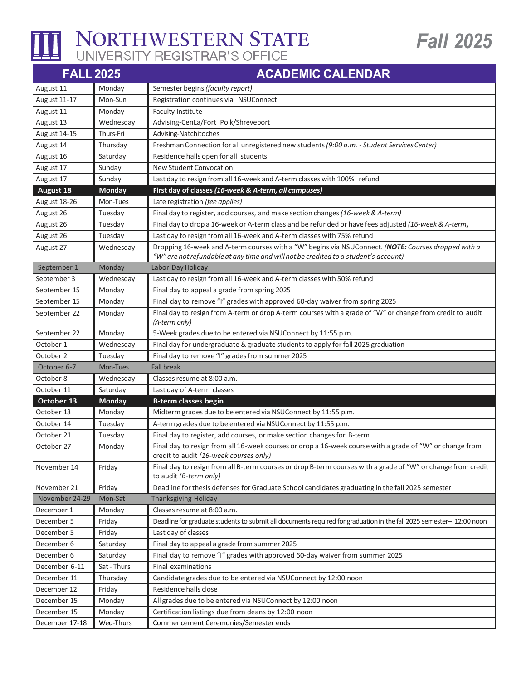

## NORTHWESTERN STATE

| <b>FALL 2025</b> |               | <b>ACADEMIC CALENDAR</b>                                                                                                                           |
|------------------|---------------|----------------------------------------------------------------------------------------------------------------------------------------------------|
| August 11        | Monday        | Semester begins (faculty report)                                                                                                                   |
| August 11-17     | Mon-Sun       | Registration continues via NSUConnect                                                                                                              |
| August 11        | Monday        | <b>Faculty Institute</b>                                                                                                                           |
| August 13        | Wednesday     | Advising-CenLa/Fort Polk/Shreveport                                                                                                                |
| August 14-15     | Thurs-Fri     | Advising-Natchitoches                                                                                                                              |
| August 14        | Thursday      | Freshman Connection for all unregistered new students (9:00 a.m. - Student Services Center)                                                        |
| August 16        | Saturday      | Residence halls open for all students                                                                                                              |
| August 17        | Sunday        | <b>New Student Convocation</b>                                                                                                                     |
| August 17        | Sunday        | Last day to resign from all 16-week and A-term classes with 100% refund                                                                            |
| August 18        | <b>Monday</b> | First day of classes (16-week & A-term, all campuses)                                                                                              |
| August 18-26     | Mon-Tues      | Late registration (fee applies)                                                                                                                    |
| August 26        | Tuesday       | Final day to register, add courses, and make section changes (16-week & A-term)                                                                    |
| August 26        | Tuesday       | Final day to drop a 16-week or A-term class and be refunded or have fees adjusted (16-week & A-term)                                               |
| August 26        | Tuesday       | Last day to resign from all 16-week and A-term classes with 75% refund                                                                             |
| August 27        | Wednesday     | Dropping 16-week and A-term courses with a "W" begins via NSUConnect. (NOTE: Courses dropped with a                                                |
|                  |               | "W" are not refundable at any time and will not be credited to a student's account)                                                                |
| September 1      | Monday        | Labor Day Holiday                                                                                                                                  |
| September 3      | Wednesday     | Last day to resign from all 16-week and A-term classes with 50% refund                                                                             |
| September 15     | Monday        | Final day to appeal a grade from spring 2025                                                                                                       |
| September 15     | Monday        | Final day to remove "I" grades with approved 60-day waiver from spring 2025                                                                        |
| September 22     | Monday        | Final day to resign from A-term or drop A-term courses with a grade of "W" or change from credit to audit<br>(A-term only)                         |
| September 22     | Monday        | 5-Week grades due to be entered via NSUConnect by 11:55 p.m.                                                                                       |
| October 1        | Wednesday     | Final day for undergraduate & graduate students to apply for fall 2025 graduation                                                                  |
| October 2        | Tuesday       | Final day to remove "I" grades from summer 2025                                                                                                    |
| October 6-7      | Mon-Tues      | <b>Fall break</b>                                                                                                                                  |
| October 8        | Wednesday     | Classes resume at 8:00 a.m.                                                                                                                        |
| October 11       | Saturday      | Last day of A-term classes                                                                                                                         |
| October 13       | <b>Monday</b> | <b>B-term classes begin</b>                                                                                                                        |
| October 13       | Monday        | Midterm grades due to be entered via NSUConnect by 11:55 p.m.                                                                                      |
| October 14       | Tuesday       | A-term grades due to be entered via NSUConnect by 11:55 p.m.                                                                                       |
| October 21       | Tuesday       | Final day to register, add courses, or make section changes for B-term                                                                             |
| October 27       | Monday        | Final day to resign from all 16-week courses or drop a 16-week course with a grade of "W" or change from<br>credit to audit (16-week courses only) |
| November 14      | Friday        | Final day to resign from all B-term courses or drop B-term courses with a grade of "W" or change from credit<br>to audit (B-term only)             |
| November 21      | Friday        | Deadline for thesis defenses for Graduate School candidates graduating in the fall 2025 semester                                                   |
| November 24-29   | Mon-Sat       | <b>Thanksgiving Holiday</b>                                                                                                                        |
| December 1       | Monday        | Classes resume at 8:00 a.m.                                                                                                                        |
| December 5       | Friday        | Deadline for graduate students to submit all documents required for graduation in the fall 2025 semester- 12:00 noon                               |
| December 5       | Friday        | Last day of classes                                                                                                                                |
| December 6       | Saturday      | Final day to appeal a grade from summer 2025                                                                                                       |
| December 6       | Saturday      | Final day to remove "I" grades with approved 60-day waiver from summer 2025                                                                        |
| December 6-11    | Sat - Thurs   | Final examinations                                                                                                                                 |
| December 11      | Thursday      | Candidate grades due to be entered via NSUConnect by 12:00 noon                                                                                    |
| December 12      | Friday        | Residence halls close                                                                                                                              |
| December 15      | Monday        | All grades due to be entered via NSUConnect by 12:00 noon                                                                                          |
| December 15      | Monday        | Certification listings due from deans by 12:00 noon                                                                                                |
| December 17-18   | Wed-Thurs     | Commencement Ceremonies/Semester ends                                                                                                              |

**Fall 2025**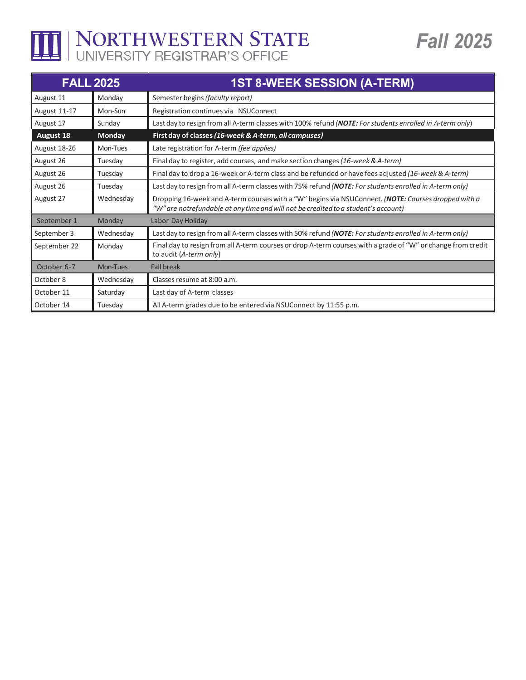THE NORTHWESTERN STATE

| <b>FALL 2025</b> |                 | <b>1ST 8-WEEK SESSION (A-TERM)</b>                                                                                                                                                        |
|------------------|-----------------|-------------------------------------------------------------------------------------------------------------------------------------------------------------------------------------------|
| August 11        | Monday          | Semester begins (faculty report)                                                                                                                                                          |
| August 11-17     | Mon-Sun         | Registration continues via NSUConnect                                                                                                                                                     |
| August 17        | Sunday          | Last day to resign from all A-term classes with 100% refund (NOTE: For students enrolled in A-term only)                                                                                  |
| <b>August 18</b> | <b>Monday</b>   | First day of classes (16-week & A-term, all campuses)                                                                                                                                     |
| August 18-26     | Mon-Tues        | Late registration for A-term (fee applies)                                                                                                                                                |
| August 26        | Tuesday         | Final day to register, add courses, and make section changes (16-week & A-term)                                                                                                           |
| August 26        | Tuesday         | Final day to drop a 16-week or A-term class and be refunded or have fees adjusted (16-week & A-term)                                                                                      |
| August 26        | Tuesday         | Last day to resign from all A-term classes with 75% refund (NOTE: For students enrolled in A-term only)                                                                                   |
| August 27        | Wednesday       | Dropping 16-week and A-term courses with a "W" begins via NSUConnect. (NOTE: Courses dropped with a<br>"W" are notrefundable at any time and will not be credited to a student's account) |
| September 1      | Monday          | Labor Day Holiday                                                                                                                                                                         |
| September 3      | Wednesday       | Last day to resign from all A-term classes with 50% refund (NOTE: For students enrolled in A-term only)                                                                                   |
| September 22     | Monday          | Final day to resign from all A-term courses or drop A-term courses with a grade of "W" or change from credit<br>to audit (A-term only)                                                    |
| October 6-7      | <b>Mon-Tues</b> | <b>Fall break</b>                                                                                                                                                                         |
| October 8        | Wednesday       | Classes resume at 8:00 a.m.                                                                                                                                                               |
| October 11       | Saturday        | Last day of A-term classes                                                                                                                                                                |
| October 14       | Tuesday         | All A-term grades due to be entered via NSUConnect by 11:55 p.m.                                                                                                                          |

*Fall 2025*